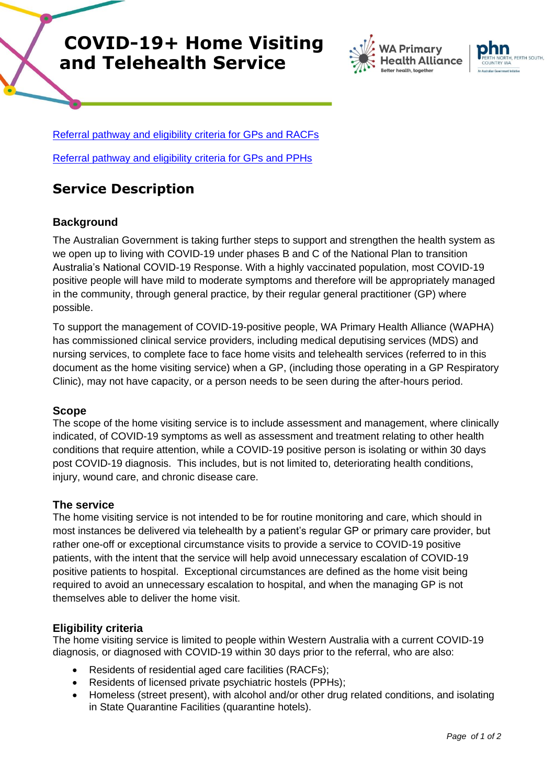# **COVID-19+ Home Visiting and Telehealth Service**



Referral pathway and eligibility [criteria for GPs and RACFs](https://www.wapha.org.au/220210_hvs-refferal-pathway-and-eligibilty-criteria-for-gps-and-racfs-final/)

Referral pathway and eligibility [criteria for GPs and PPHs](https://www.wapha.org.au/220210_hvs-refferal-pathway-and-eligibilty-criteria-for-gps-and-pphs-final/)

# **Service Description**

## **Background**

The Australian Government is taking further steps to support and strengthen the health system as we open up to living with COVID-19 under phases B and C of the National Plan to transition Australia's National COVID-19 Response. With a highly vaccinated population, most COVID-19 positive people will have mild to moderate symptoms and therefore will be appropriately managed in the community, through general practice, by their regular general practitioner (GP) where possible.

To support the management of COVID-19-positive people, WA Primary Health Alliance (WAPHA) has commissioned clinical service providers, including medical deputising services (MDS) and nursing services, to complete face to face home visits and telehealth services (referred to in this document as the home visiting service) when a GP, (including those operating in a GP Respiratory Clinic), may not have capacity, or a person needs to be seen during the after-hours period.

#### **Scope**

The scope of the home visiting service is to include assessment and management, where clinically indicated, of COVID-19 symptoms as well as assessment and treatment relating to other health conditions that require attention, while a COVID-19 positive person is isolating or within 30 days post COVID-19 diagnosis. This includes, but is not limited to, deteriorating health conditions, injury, wound care, and chronic disease care.

### **The service**

The home visiting service is not intended to be for routine monitoring and care, which should in most instances be delivered via telehealth by a patient's regular GP or primary care provider, but rather one-off or exceptional circumstance visits to provide a service to COVID-19 positive patients, with the intent that the service will help avoid unnecessary escalation of COVID-19 positive patients to hospital. Exceptional circumstances are defined as the home visit being required to avoid an unnecessary escalation to hospital, and when the managing GP is not themselves able to deliver the home visit.

### **Eligibility criteria**

The home visiting service is limited to people within Western Australia with a current COVID-19 diagnosis, or diagnosed with COVID-19 within 30 days prior to the referral, who are also:

- Residents of residential aged care facilities (RACFs);
- Residents of licensed private psychiatric hostels (PPHs);
- Homeless (street present), with alcohol and/or other drug related conditions, and isolating in State Quarantine Facilities (quarantine hotels).